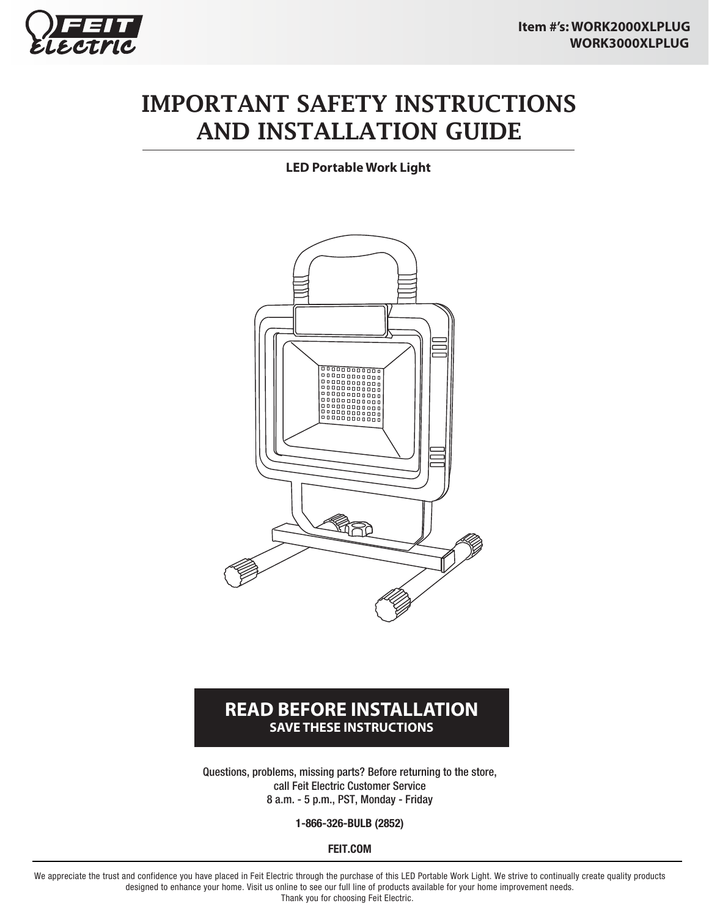

## IMPORTANT SAFETY INSTRUCTIONS AND INSTALLATION GUIDE

**LED Portable Work Light**



#### **READ BEFORE INSTALLATION SAVE THESE INSTRUCTIONS**

Questions, problems, missing parts? Before returning to the store, call Feit Electric Customer Service 8 a.m. - 5 p.m., PST, Monday - Friday

**1-866-326-BULB (2852)**

**FEIT.COM**

We appreciate the trust and confidence you have placed in Feit Electric through the purchase of this LED Portable Work Light. We strive to continually create quality products designed to enhance your home. Visit us online to see our full line of products available for your home improvement needs. Thank you for choosing Feit Electric.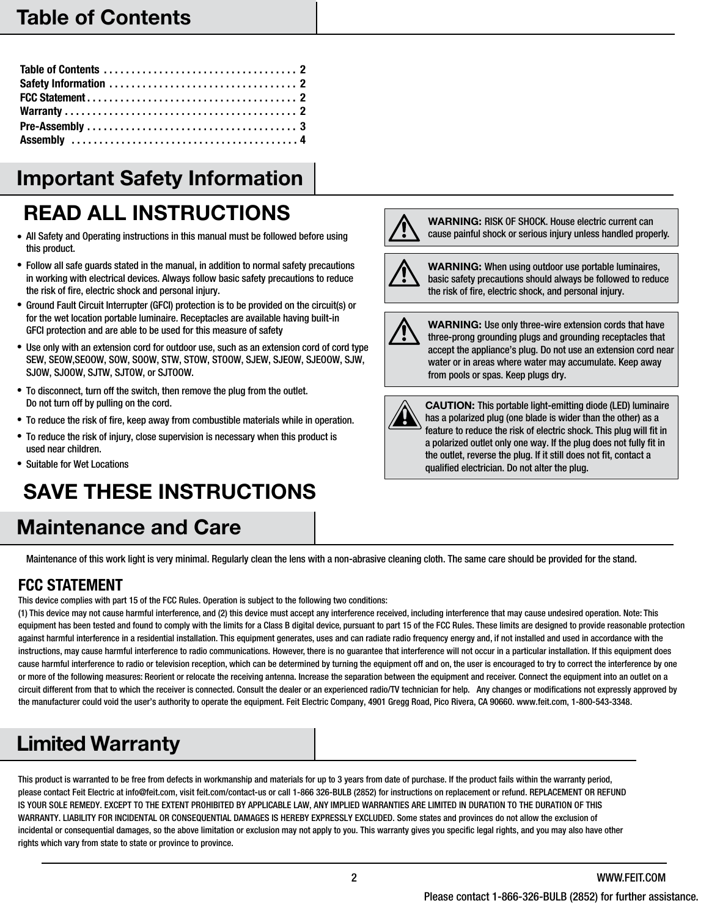### Table of Contents

## Important Safety Information

# READ ALL INSTRUCTIONS

- All Safety and Operating instructions in this manual must be followed before using this product.
- Follow all safe guards stated in the manual, in addition to normal safety precautions in working with electrical devices. Always follow basic safety precautions to reduce the risk of fire, electric shock and personal injury.
- Ground Fault Circuit Interrupter (GFCI) protection is to be provided on the circuit(s) or for the wet location portable luminaire. Receptacles are available having built-in GFCI protection and are able to be used for this measure of safety
- Use only with an extension cord for outdoor use, such as an extension cord of cord type SEW, SEOW,SEOOW, SOW, SOOW, STW, STOW, STOOW, SJEW, SJEOW, SJEOOW, SJW, SJOW, SJOOW, SJTW, SJTOW, or SJTOOW.
- To disconnect, turn off the switch, then remove the plug from the outlet. Do not turn off by pulling on the cord.
- To reduce the risk of fire, keep away from combustible materials while in operation.
- To reduce the risk of injury, close supervision is necessary when this product is used near children.
- Suitable for Wet Locations

# SAVE THESE INSTRUCTIONS

### Maintenance and Care





WARNING: When using outdoor use portable luminaires, basic safety precautions should always be followed to reduce the risk of fire, electric shock, and personal injury.



WARNING: Use only three-wire extension cords that have three-prong grounding plugs and grounding receptacles that accept the appliance's plug. Do not use an extension cord near water or in areas where water may accumulate. Keep away from pools or spas. Keep plugs dry.



CAUTION: This portable light-emitting diode (LED) luminaire has a polarized plug (one blade is wider than the other) as a feature to reduce the risk of electric shock. This plug will fit in a polarized outlet only one way. If the plug does not fully fit in the outlet, reverse the plug. If it still does not fit, contact a qualified electrician. Do not alter the plug.

Maintenance of this work light is very minimal. Regularly clean the lens with a non-abrasive cleaning cloth. The same care should be provided for the stand.

#### **FCC STATEMENT**

This device complies with part 15 of the FCC Rules. Operation is subject to the following two conditions:

(1) This device may not cause harmful interference, and (2) this device must accept any interference received, including interference that may cause undesired operation. Note: This equipment has been tested and found to comply with the limits for a Class B digital device, pursuant to part 15 of the FCC Rules. These limits are designed to provide reasonable protection against harmful interference in a residential installation. This equipment generates, uses and can radiate radio frequency energy and, if not installed and used in accordance with the instructions, may cause harmful interference to radio communications. However, there is no guarantee that interference will not occur in a particular installation. If this equipment does cause harmful interference to radio or television reception, which can be determined by turning the equipment off and on, the user is encouraged to try to correct the interference by one or more of the following measures: Reorient or relocate the receiving antenna. Increase the separation between the equipment and receiver. Connect the equipment into an outlet on a circuit different from that to which the receiver is connected. Consult the dealer or an experienced radio/TV technician for help. Any changes or modifications not expressly approved by the manufacturer could void the user's authority to operate the equipment. Feit Electric Company, 4901 Gregg Road, Pico Rivera, CA 90660. www.feit.com, 1-800-543-3348.

## Limited Warranty

This product is warranted to be free from defects in workmanship and materials for up to 3 years from date of purchase. If the product fails within the warranty period, please contact Feit Electric at info@feit.com, visit feit.com/contact-us or call 1-866 326-BULB (2852) for instructions on replacement or refund. REPLACEMENT OR REFUND IS YOUR SOLE REMEDY. EXCEPT TO THE EXTENT PROHIBITED BY APPLICABLE LAW, ANY IMPLIED WARRANTIES ARE LIMITED IN DURATION TO THE DURATION OF THIS WARRANTY. LIABILITY FOR INCIDENTAL OR CONSEQUENTIAL DAMAGES IS HEREBY EXPRESSLY EXCLUDED. Some states and provinces do not allow the exclusion of incidental or consequential damages, so the above limitation or exclusion may not apply to you. This warranty gives you specific legal rights, and you may also have other rights which vary from state to state or province to province.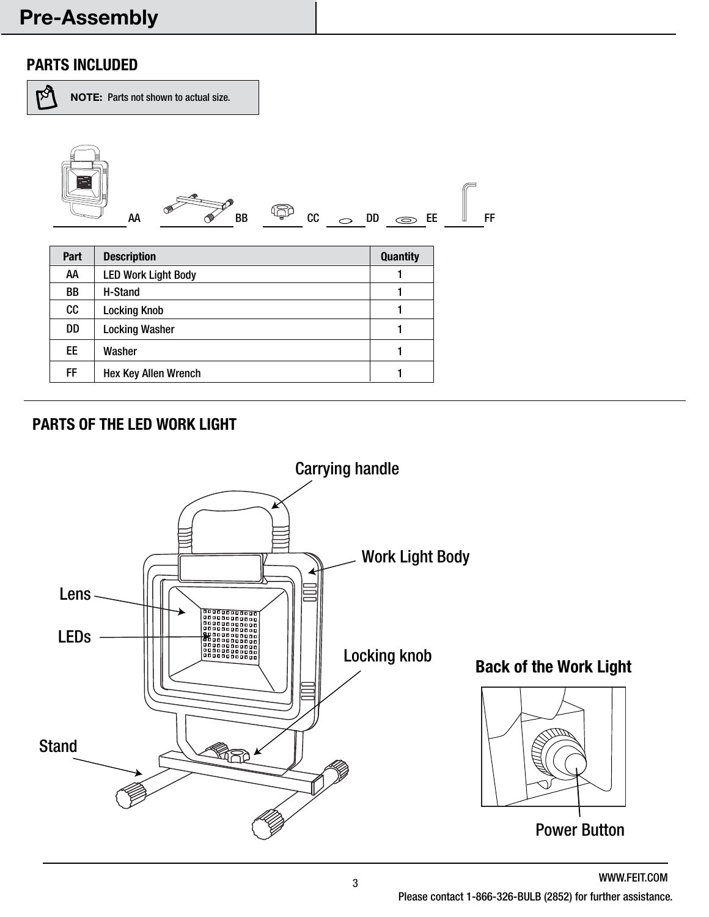### Pre-Assembly

#### **PARTS INCLUDED**

 $\mathbb{R}^3$ NOTE: Parts not shown to actual size. AA BB CC DD EE FF**Part Description Quantity** AA 1 LED Work Light Body BB H-Stand 1 CC | Locking Knob 1 DD | Locking Washer 1 EE Washer 1 FF | Hex Key Allen Wrench | 1

#### **PARTS OF THE LED WORK LIGHT**